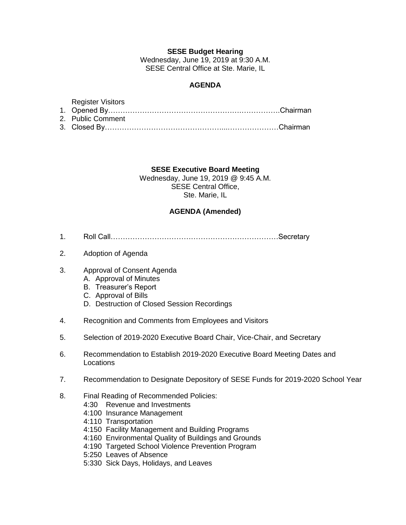## **SESE Budget Hearing**

Wednesday, June 19, 2019 at 9:30 A.M. SESE Central Office at Ste. Marie, IL

# **AGENDA**

#### Register Visitors

| 2. Public Comment |  |
|-------------------|--|

3. Closed By…………………………………………...…………………Chairman

## **SESE Executive Board Meeting**

Wednesday, June 19, 2019 @ 9:45 A.M. SESE Central Office, Ste. Marie, IL

## **AGENDA (Amended)**

- 1. Roll Call……………………………………………………………Secretary
- 2. Adoption of Agenda
- 3. Approval of Consent Agenda
	- A. Approval of Minutes
	- B. Treasurer's Report
	- C. Approval of Bills
	- D. Destruction of Closed Session Recordings
- 4. Recognition and Comments from Employees and Visitors
- 5. Selection of 2019-2020 Executive Board Chair, Vice-Chair, and Secretary
- 6. Recommendation to Establish 2019-2020 Executive Board Meeting Dates and Locations
- 7. Recommendation to Designate Depository of SESE Funds for 2019-2020 School Year
- 8. Final Reading of Recommended Policies:
	- 4:30 Revenue and Investments
	- 4:100 Insurance Management
	- 4:110 Transportation
	- 4:150 Facility Management and Building Programs
	- 4:160 Environmental Quality of Buildings and Grounds
	- 4:190 Targeted School Violence Prevention Program
	- 5:250 Leaves of Absence
	- 5:330 Sick Days, Holidays, and Leaves